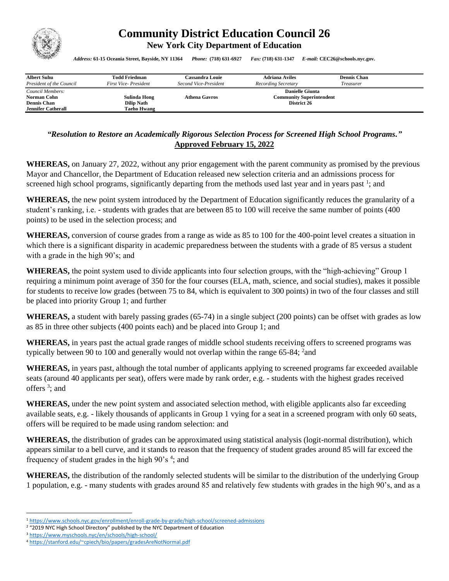

## **Community District Education Council 26**

**New York City Department of Education** 

*Address:* **61-15 Oceania Street, Bayside, NY 11364** *Phone:* **(718) 631-6927** *Fax:* **(718) 631-1347** *E-mail:* **CEC26@schools.nyc.gov.**

| <b>Albert Suhu</b>                                                                 | <b>Todd Friedman</b>                             | <b>Cassandra Louie</b> | <b>Adriana Aviles</b>                                                    | <b>Dennis Chan</b> |  |
|------------------------------------------------------------------------------------|--------------------------------------------------|------------------------|--------------------------------------------------------------------------|--------------------|--|
| President of the Council                                                           | First Vice-President                             | Second Vice-President  | Recording Secretary                                                      | Treasurer          |  |
| Council Members:<br>Norman Cohn<br><b>Dennis Chan</b><br><b>Jennifer Catherall</b> | Sulinda Hong<br><b>Dilip Nath</b><br>Taeho Hwang | <b>Athena Gavros</b>   | <b>Danielle Giunta</b><br><b>Community Superintendent</b><br>District 26 |                    |  |

## *"Resolution to Restore an Academically Rigorous Selection Process for Screened High School Programs."* **Approved February 15, 2022**

**WHEREAS,** on January 27, 2022, without any prior engagement with the parent community as promised by the previous Mayor and Chancellor, the Department of Education released new selection criteria and an admissions process for screened high school programs, significantly departing from the methods used last year and in years past<sup>1</sup>; and

**WHEREAS,** the new point system introduced by the Department of Education significantly reduces the granularity of a student's ranking, i.e. - students with grades that are between 85 to 100 will receive the same number of points (400 points) to be used in the selection process; and

**WHEREAS,** conversion of course grades from a range as wide as 85 to 100 for the 400-point level creates a situation in which there is a significant disparity in academic preparedness between the students with a grade of 85 versus a student with a grade in the high 90's; and

**WHEREAS,** the point system used to divide applicants into four selection groups, with the "high-achieving" Group 1 requiring a minimum point average of 350 for the four courses (ELA, math, science, and social studies), makes it possible for students to receive low grades (between 75 to 84, which is equivalent to 300 points) in two of the four classes and still be placed into priority Group 1; and further

**WHEREAS,** a student with barely passing grades (65-74) in a single subject (200 points) can be offset with grades as low as 85 in three other subjects (400 points each) and be placed into Group 1; and

**WHEREAS,** in years past the actual grade ranges of middle school students receiving offers to screened programs was typically between 90 to 100 and generally would not overlap within the range 65-84; <sup>2</sup>and

**WHEREAS,** in years past, although the total number of applicants applying to screened programs far exceeded available seats (around 40 applicants per seat), offers were made by rank order, e.g. - students with the highest grades received offers<sup>3</sup>; and

**WHEREAS,** under the new point system and associated selection method, with eligible applicants also far exceeding available seats, e.g. - likely thousands of applicants in Group 1 vying for a seat in a screened program with only 60 seats, offers will be required to be made using random selection: and

**WHEREAS,** the distribution of grades can be approximated using statistical analysis (logit-normal distribution), which appears similar to a bell curve, and it stands to reason that the frequency of student grades around 85 will far exceed the frequency of student grades in the high 90's <sup>4</sup>; and

**WHEREAS,** the distribution of the randomly selected students will be similar to the distribution of the underlying Group 1 population, e.g. - many students with grades around 85 and relatively few students with grades in the high 90's, and as a

<sup>1</sup> <https://www.schools.nyc.gov/enrollment/enroll-grade-by-grade/high-school/screened-admissions>

<sup>&</sup>lt;sup>2</sup> "2019 NYC High School Directory" published by the NYC Department of Education

<sup>3</sup> <https://www.myschools.nyc/en/schools/high-school/>

<sup>4</sup> <https://stanford.edu/~cpiech/bio/papers/gradesAreNotNormal.pdf>